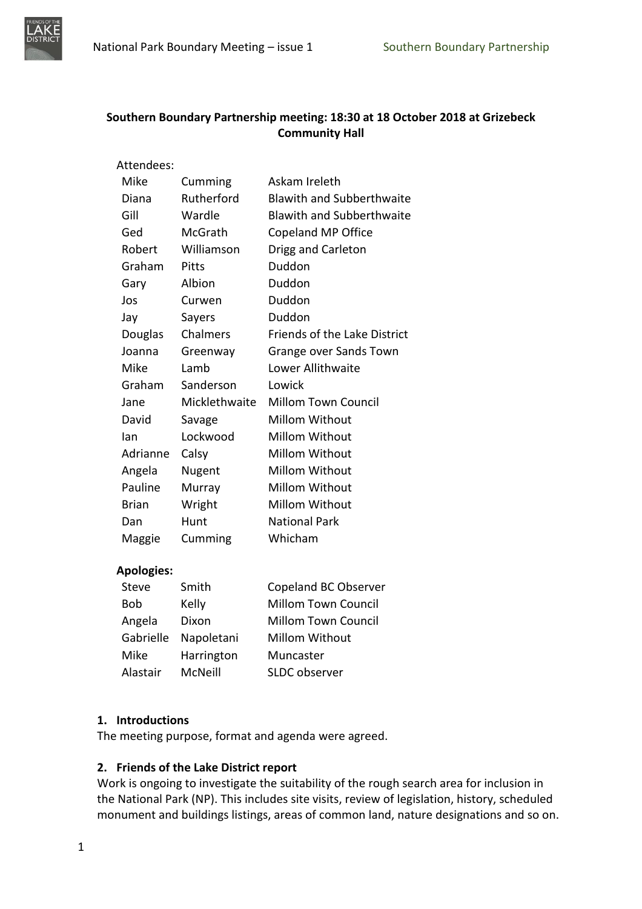

# **Southern Boundary Partnership meeting: 18:30 at 18 October 2018 at Grizebeck Community Hall**

| Attendees:   |               |                                     |
|--------------|---------------|-------------------------------------|
| Mike         | Cumming       | Askam Ireleth                       |
| Diana        | Rutherford    | <b>Blawith and Subberthwaite</b>    |
| Gill         | Wardle        | <b>Blawith and Subberthwaite</b>    |
| Ged          | McGrath       | Copeland MP Office                  |
| Robert       | Williamson    | Drigg and Carleton                  |
| Graham       | Pitts         | Duddon                              |
| Gary         | Albion        | Duddon                              |
| Jos          | Curwen        | Duddon                              |
| Jay          | Sayers        | Duddon                              |
| Douglas      | Chalmers      | <b>Friends of the Lake District</b> |
| Joanna       | Greenway      | Grange over Sands Town              |
| Mike         | Lamb          | Lower Allithwaite                   |
| Graham       | Sanderson     | Lowick                              |
| Jane         | Micklethwaite | <b>Millom Town Council</b>          |
| David        | Savage        | <b>Millom Without</b>               |
| lan          | Lockwood      | <b>Millom Without</b>               |
| Adrianne     | Calsy         | <b>Millom Without</b>               |
| Angela       | Nugent        | <b>Millom Without</b>               |
| Pauline      | Murray        | <b>Millom Without</b>               |
| <b>Brian</b> | Wright        | <b>Millom Without</b>               |
| Dan          | Hunt          | <b>National Park</b>                |
| Maggie       | Cumming       | Whicham                             |

#### **Apologies:**

| <b>Steve</b> | Smith      | Copeland BC Observer       |
|--------------|------------|----------------------------|
| Bob          | Kelly      | <b>Millom Town Council</b> |
| Angela       | Dixon      | <b>Millom Town Council</b> |
| Gabrielle    | Napoletani | Millom Without             |
| Mike         | Harrington | Muncaster                  |
| Alastair     | McNeill    | SLDC observer              |

# **1. Introductions**

The meeting purpose, format and agenda were agreed.

# **2. Friends of the Lake District report**

Work is ongoing to investigate the suitability of the rough search area for inclusion in the National Park (NP). This includes site visits, review of legislation, history, scheduled monument and buildings listings, areas of common land, nature designations and so on.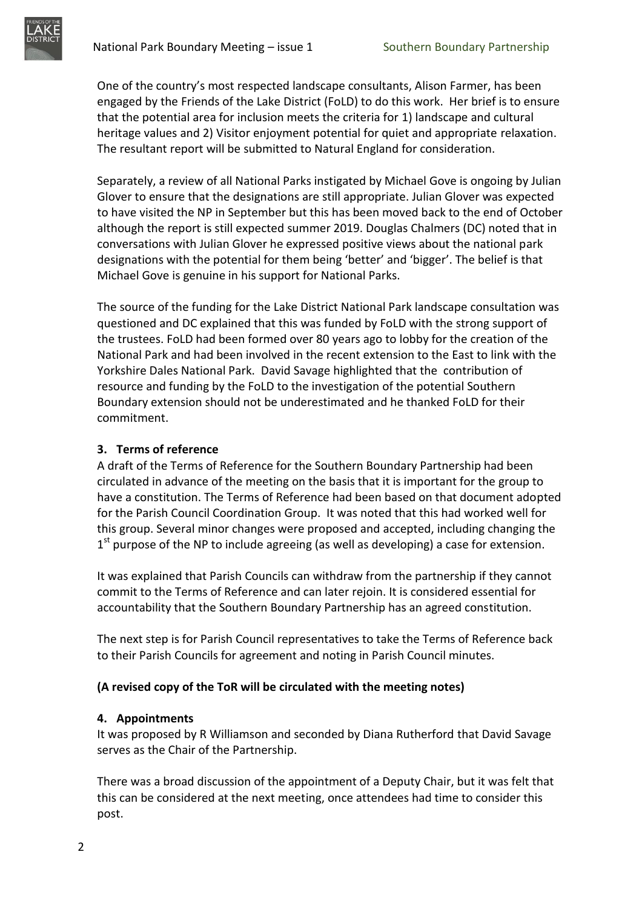One of the country's most respected landscape consultants, Alison Farmer, has been engaged by the Friends of the Lake District (FoLD) to do this work. Her brief is to ensure that the potential area for inclusion meets the criteria for 1) landscape and cultural heritage values and 2) Visitor enjoyment potential for quiet and appropriate relaxation. The resultant report will be submitted to Natural England for consideration.

Separately, a review of all National Parks instigated by Michael Gove is ongoing by Julian Glover to ensure that the designations are still appropriate. Julian Glover was expected to have visited the NP in September but this has been moved back to the end of October although the report is still expected summer 2019. Douglas Chalmers (DC) noted that in conversations with Julian Glover he expressed positive views about the national park designations with the potential for them being 'better' and 'bigger'. The belief is that Michael Gove is genuine in his support for National Parks.

The source of the funding for the Lake District National Park landscape consultation was questioned and DC explained that this was funded by FoLD with the strong support of the trustees. FoLD had been formed over 80 years ago to lobby for the creation of the National Park and had been involved in the recent extension to the East to link with the Yorkshire Dales National Park. David Savage highlighted that the contribution of resource and funding by the FoLD to the investigation of the potential Southern Boundary extension should not be underestimated and he thanked FoLD for their commitment.

# **3. Terms of reference**

A draft of the Terms of Reference for the Southern Boundary Partnership had been circulated in advance of the meeting on the basis that it is important for the group to have a constitution. The Terms of Reference had been based on that document adopted for the Parish Council Coordination Group. It was noted that this had worked well for this group. Several minor changes were proposed and accepted, including changing the  $1<sup>st</sup>$  purpose of the NP to include agreeing (as well as developing) a case for extension.

It was explained that Parish Councils can withdraw from the partnership if they cannot commit to the Terms of Reference and can later rejoin. It is considered essential for accountability that the Southern Boundary Partnership has an agreed constitution.

The next step is for Parish Council representatives to take the Terms of Reference back to their Parish Councils for agreement and noting in Parish Council minutes.

# **(A revised copy of the ToR will be circulated with the meeting notes)**

# **4. Appointments**

It was proposed by R Williamson and seconded by Diana Rutherford that David Savage serves as the Chair of the Partnership.

There was a broad discussion of the appointment of a Deputy Chair, but it was felt that this can be considered at the next meeting, once attendees had time to consider this post.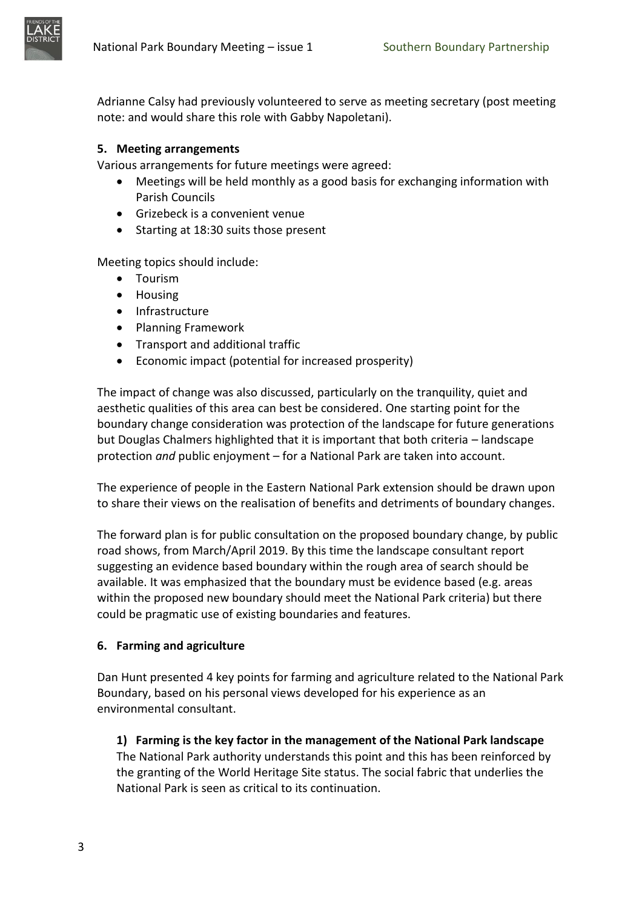

Adrianne Calsy had previously volunteered to serve as meeting secretary (post meeting note: and would share this role with Gabby Napoletani).

# **5. Meeting arrangements**

Various arrangements for future meetings were agreed:

- Meetings will be held monthly as a good basis for exchanging information with Parish Councils
- Grizebeck is a convenient venue
- Starting at 18:30 suits those present

Meeting topics should include:

- Tourism
- Housing
- Infrastructure
- Planning Framework
- Transport and additional traffic
- Economic impact (potential for increased prosperity)

The impact of change was also discussed, particularly on the tranquility, quiet and aesthetic qualities of this area can best be considered. One starting point for the boundary change consideration was protection of the landscape for future generations but Douglas Chalmers highlighted that it is important that both criteria – landscape protection *and* public enjoyment – for a National Park are taken into account.

The experience of people in the Eastern National Park extension should be drawn upon to share their views on the realisation of benefits and detriments of boundary changes.

The forward plan is for public consultation on the proposed boundary change, by public road shows, from March/April 2019. By this time the landscape consultant report suggesting an evidence based boundary within the rough area of search should be available. It was emphasized that the boundary must be evidence based (e.g. areas within the proposed new boundary should meet the National Park criteria) but there could be pragmatic use of existing boundaries and features.

# **6. Farming and agriculture**

Dan Hunt presented 4 key points for farming and agriculture related to the National Park Boundary, based on his personal views developed for his experience as an environmental consultant.

**1) Farming is the key factor in the management of the National Park landscape** The National Park authority understands this point and this has been reinforced by the granting of the World Heritage Site status. The social fabric that underlies the National Park is seen as critical to its continuation.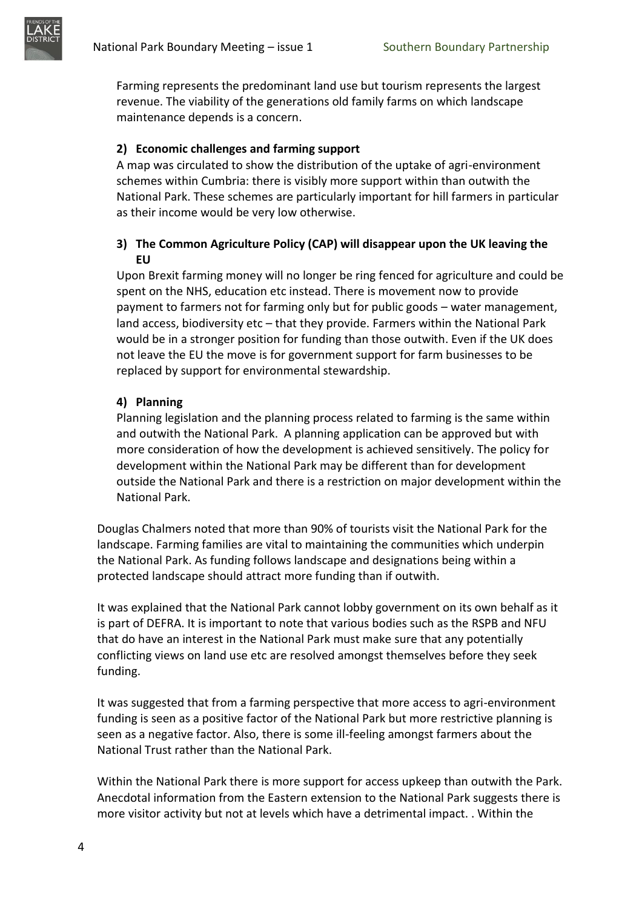

Farming represents the predominant land use but tourism represents the largest revenue. The viability of the generations old family farms on which landscape maintenance depends is a concern.

# **2) Economic challenges and farming support**

A map was circulated to show the distribution of the uptake of agri-environment schemes within Cumbria: there is visibly more support within than outwith the National Park. These schemes are particularly important for hill farmers in particular as their income would be very low otherwise.

# **3) The Common Agriculture Policy (CAP) will disappear upon the UK leaving the EU**

Upon Brexit farming money will no longer be ring fenced for agriculture and could be spent on the NHS, education etc instead. There is movement now to provide payment to farmers not for farming only but for public goods – water management, land access, biodiversity etc – that they provide. Farmers within the National Park would be in a stronger position for funding than those outwith. Even if the UK does not leave the EU the move is for government support for farm businesses to be replaced by support for environmental stewardship.

# **4) Planning**

Planning legislation and the planning process related to farming is the same within and outwith the National Park. A planning application can be approved but with more consideration of how the development is achieved sensitively. The policy for development within the National Park may be different than for development outside the National Park and there is a restriction on major development within the National Park.

Douglas Chalmers noted that more than 90% of tourists visit the National Park for the landscape. Farming families are vital to maintaining the communities which underpin the National Park. As funding follows landscape and designations being within a protected landscape should attract more funding than if outwith.

It was explained that the National Park cannot lobby government on its own behalf as it is part of DEFRA. It is important to note that various bodies such as the RSPB and NFU that do have an interest in the National Park must make sure that any potentially conflicting views on land use etc are resolved amongst themselves before they seek funding.

It was suggested that from a farming perspective that more access to agri-environment funding is seen as a positive factor of the National Park but more restrictive planning is seen as a negative factor. Also, there is some ill-feeling amongst farmers about the National Trust rather than the National Park.

Within the National Park there is more support for access upkeep than outwith the Park. Anecdotal information from the Eastern extension to the National Park suggests there is more visitor activity but not at levels which have a detrimental impact. . Within the